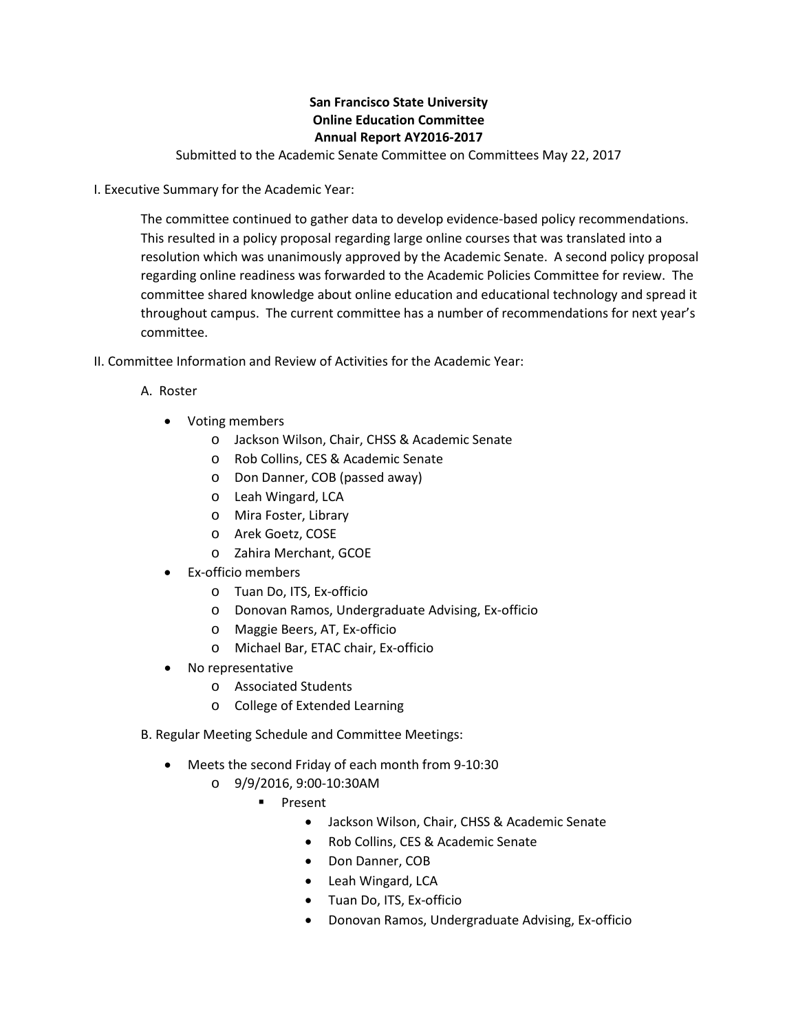## **San Francisco State University Online Education Committee Annual Report AY2016-2017**

Submitted to the Academic Senate Committee on Committees May 22, 2017

I. Executive Summary for the Academic Year:

The committee continued to gather data to develop evidence-based policy recommendations. This resulted in a policy proposal regarding large online courses that was translated into a resolution which was unanimously approved by the Academic Senate. A second policy proposal regarding online readiness was forwarded to the Academic Policies Committee for review. The committee shared knowledge about online education and educational technology and spread it throughout campus. The current committee has a number of recommendations for next year's committee.

- II. Committee Information and Review of Activities for the Academic Year:
	- A. Roster
		- Voting members
			- o Jackson Wilson, Chair, CHSS & Academic Senate
			- o Rob Collins, CES & Academic Senate
			- o Don Danner, COB (passed away)
			- o Leah Wingard, LCA
			- o Mira Foster, Library
			- o Arek Goetz, COSE
			- o Zahira Merchant, GCOE
		- Ex-officio members
			- o Tuan Do, ITS, Ex-officio
			- o Donovan Ramos, Undergraduate Advising, Ex-officio
			- o Maggie Beers, AT, Ex-officio
			- o Michael Bar, ETAC chair, Ex-officio
		- No representative
			- o Associated Students
			- o College of Extended Learning
	- B. Regular Meeting Schedule and Committee Meetings:
		- Meets the second Friday of each month from 9-10:30
			- o 9/9/2016, 9:00-10:30AM
				- **Present** 
					- Jackson Wilson, Chair, CHSS & Academic Senate
					- Rob Collins, CES & Academic Senate
					- Don Danner, COB
					- Leah Wingard, LCA
					- Tuan Do, ITS, Ex-officio
					- Donovan Ramos, Undergraduate Advising, Ex-officio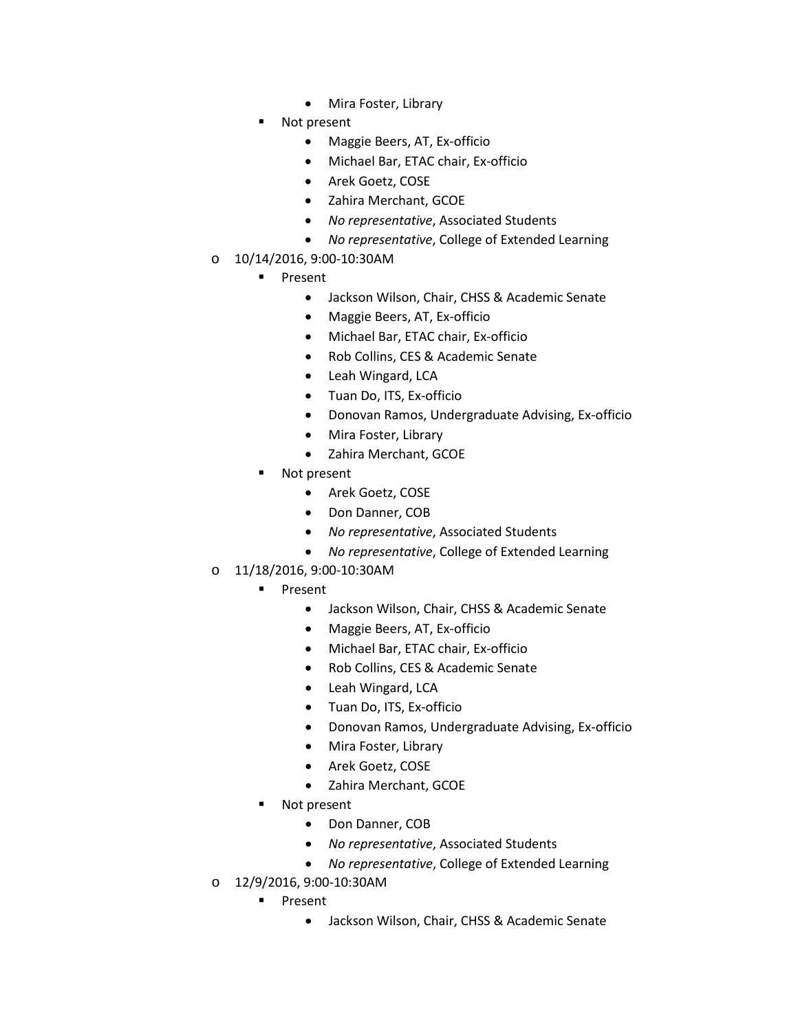- Mira Foster, Library
- Not present
	- Maggie Beers, AT, Ex-officio
	- Michael Bar, ETAC chair, Ex-officio
	- Arek Goetz, COSE
	- Zahira Merchant, GCOE
	- *No representative*, Associated Students
	- *No representative*, College of Extended Learning
- o 10/14/2016, 9:00-10:30AM
	- **Present** 
		- Jackson Wilson, Chair, CHSS & Academic Senate
		- Maggie Beers, AT, Ex-officio
		- Michael Bar, ETAC chair, Ex-officio
		- Rob Collins, CES & Academic Senate
		- Leah Wingard, LCA
		- Tuan Do, ITS, Ex-officio
		- Donovan Ramos, Undergraduate Advising, Ex-officio
		- Mira Foster, Library
		- Zahira Merchant, GCOE
	- Not present
		- Arek Goetz, COSE
		- Don Danner, COB
		- *No representative*, Associated Students
		- *No representative*, College of Extended Learning
- o 11/18/2016, 9:00-10:30AM
	- **Present** 
		- Jackson Wilson, Chair, CHSS & Academic Senate
		- Maggie Beers, AT, Ex-officio
		- Michael Bar, ETAC chair, Ex-officio
		- Rob Collins, CES & Academic Senate
		- Leah Wingard, LCA
		- Tuan Do, ITS, Ex-officio
		- Donovan Ramos, Undergraduate Advising, Ex-officio
		- Mira Foster, Library
		- Arek Goetz, COSE
		- Zahira Merchant, GCOE
	- Not present
		- Don Danner, COB
		- *No representative*, Associated Students
		- *No representative*, College of Extended Learning
- o 12/9/2016, 9:00-10:30AM
	- **Present** 
		- Jackson Wilson, Chair, CHSS & Academic Senate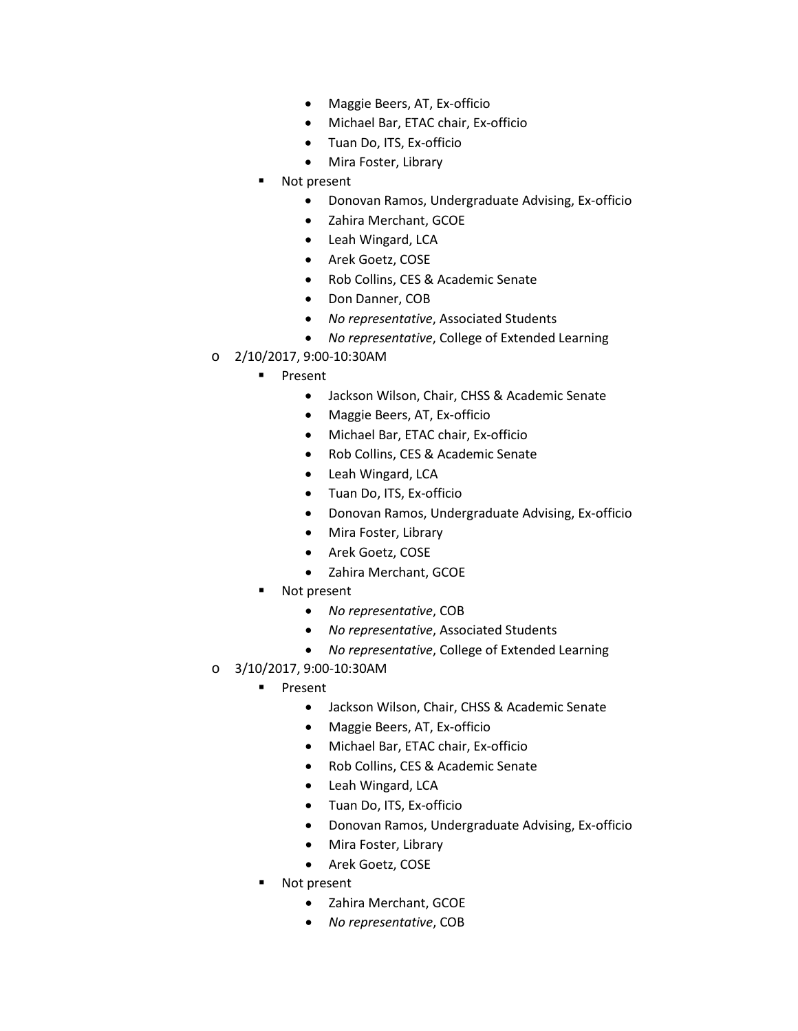- Maggie Beers, AT, Ex-officio
- Michael Bar, ETAC chair, Ex-officio
- Tuan Do, ITS, Ex-officio
- Mira Foster, Library
- Not present
	- Donovan Ramos, Undergraduate Advising, Ex-officio
	- Zahira Merchant, GCOE
	- Leah Wingard, LCA
	- Arek Goetz, COSE
	- Rob Collins, CES & Academic Senate
	- Don Danner, COB
	- *No representative*, Associated Students
	- *No representative*, College of Extended Learning
- o 2/10/2017, 9:00-10:30AM
	- **Present** 
		- Jackson Wilson, Chair, CHSS & Academic Senate
		- Maggie Beers, AT, Ex-officio
		- Michael Bar, ETAC chair, Ex-officio
		- Rob Collins, CES & Academic Senate
		- Leah Wingard, LCA
		- Tuan Do, ITS, Ex-officio
		- Donovan Ramos, Undergraduate Advising, Ex-officio
		- Mira Foster, Library
		- Arek Goetz, COSE
		- Zahira Merchant, GCOE
	- Not present
		- *No representative*, COB
		- *No representative*, Associated Students
		- *No representative*, College of Extended Learning
- o 3/10/2017, 9:00-10:30AM
	- **Present** 
		- Jackson Wilson, Chair, CHSS & Academic Senate
		- Maggie Beers, AT, Ex-officio
		- Michael Bar, ETAC chair, Ex-officio
		- Rob Collins, CES & Academic Senate
		- Leah Wingard, LCA
		- Tuan Do, ITS, Ex-officio
		- Donovan Ramos, Undergraduate Advising, Ex-officio
		- Mira Foster, Library
		- Arek Goetz, COSE
	- Not present
		- Zahira Merchant, GCOE
		- *No representative*, COB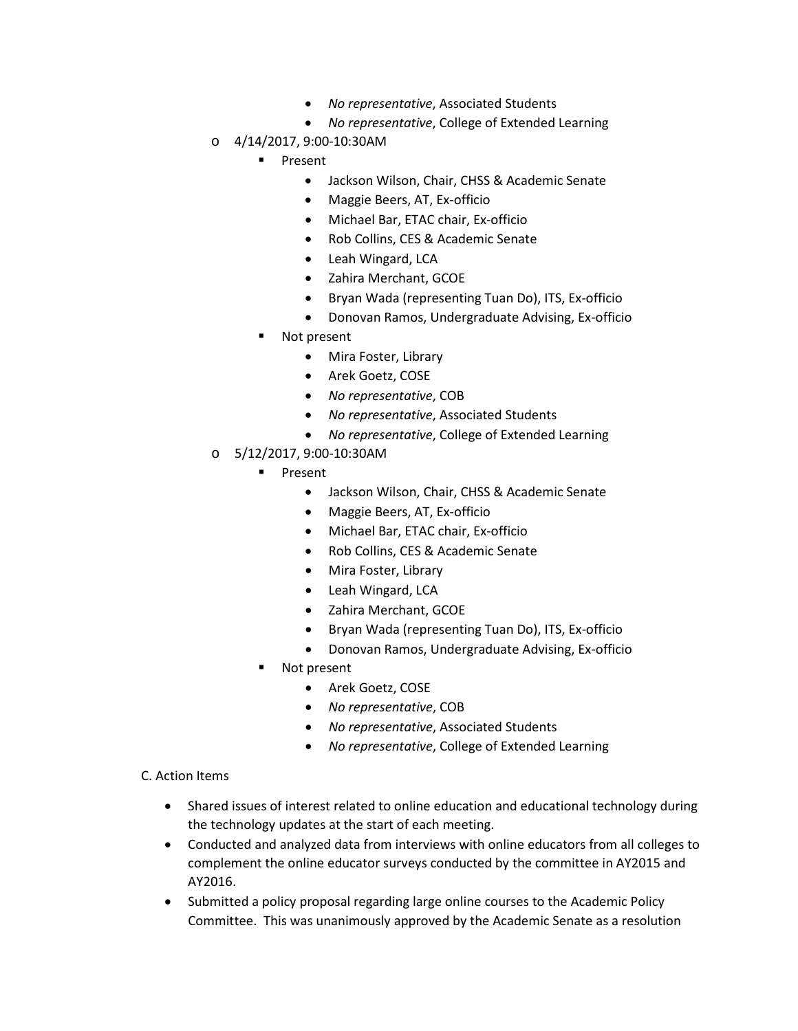- *No representative*, Associated Students
- *No representative*, College of Extended Learning
- o 4/14/2017, 9:00-10:30AM
	- **Present** 
		- Jackson Wilson, Chair, CHSS & Academic Senate
		- Maggie Beers, AT, Ex-officio
		- Michael Bar, ETAC chair, Ex-officio
		- Rob Collins, CES & Academic Senate
		- Leah Wingard, LCA
		- Zahira Merchant, GCOE
		- Bryan Wada (representing Tuan Do), ITS, Ex-officio
		- Donovan Ramos, Undergraduate Advising, Ex-officio
	- Not present
		- Mira Foster, Library
		- Arek Goetz, COSE
		- *No representative*, COB
		- *No representative*, Associated Students
		- *No representative*, College of Extended Learning
- o 5/12/2017, 9:00-10:30AM
	- **Present** 
		- Jackson Wilson, Chair, CHSS & Academic Senate
		- Maggie Beers, AT, Ex-officio
		- Michael Bar, ETAC chair, Ex-officio
		- Rob Collins, CES & Academic Senate
		- Mira Foster, Library
		- Leah Wingard, LCA
		- Zahira Merchant, GCOE
		- Bryan Wada (representing Tuan Do), ITS, Ex-officio
		- Donovan Ramos, Undergraduate Advising, Ex-officio
	- Not present
		- Arek Goetz, COSE
		- *No representative*, COB
		- *No representative*, Associated Students
		- *No representative*, College of Extended Learning

C. Action Items

- Shared issues of interest related to online education and educational technology during the technology updates at the start of each meeting.
- Conducted and analyzed data from interviews with online educators from all colleges to complement the online educator surveys conducted by the committee in AY2015 and AY2016.
- Submitted a policy proposal regarding large online courses to the Academic Policy Committee. This was unanimously approved by the Academic Senate as a resolution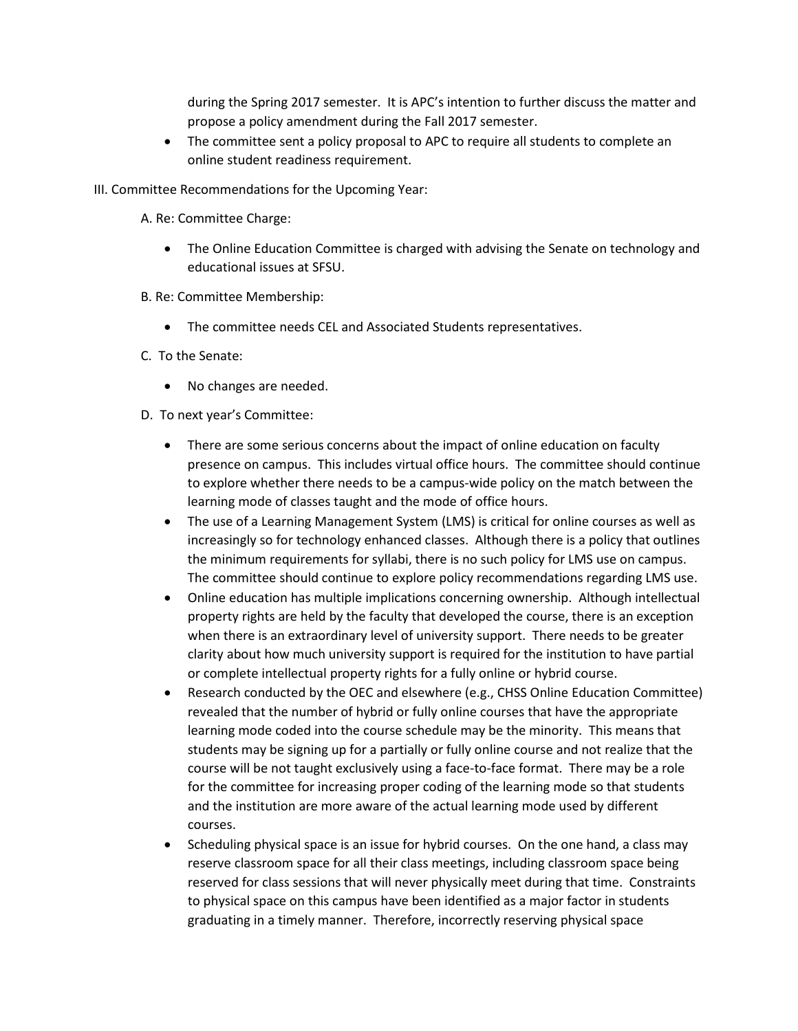during the Spring 2017 semester. It is APC's intention to further discuss the matter and propose a policy amendment during the Fall 2017 semester.

- The committee sent a policy proposal to APC to require all students to complete an online student readiness requirement.
- III. Committee Recommendations for the Upcoming Year:
	- A. Re: Committee Charge:
		- The Online Education Committee is charged with advising the Senate on technology and educational issues at SFSU.
	- B. Re: Committee Membership:
		- The committee needs CEL and Associated Students representatives.
	- C. To the Senate:
		- No changes are needed.
	- D. To next year's Committee:
		- There are some serious concerns about the impact of online education on faculty presence on campus. This includes virtual office hours. The committee should continue to explore whether there needs to be a campus-wide policy on the match between the learning mode of classes taught and the mode of office hours.
		- The use of a Learning Management System (LMS) is critical for online courses as well as increasingly so for technology enhanced classes. Although there is a policy that outlines the minimum requirements for syllabi, there is no such policy for LMS use on campus. The committee should continue to explore policy recommendations regarding LMS use.
		- Online education has multiple implications concerning ownership. Although intellectual property rights are held by the faculty that developed the course, there is an exception when there is an extraordinary level of university support. There needs to be greater clarity about how much university support is required for the institution to have partial or complete intellectual property rights for a fully online or hybrid course.
		- Research conducted by the OEC and elsewhere (e.g., CHSS Online Education Committee) revealed that the number of hybrid or fully online courses that have the appropriate learning mode coded into the course schedule may be the minority. This means that students may be signing up for a partially or fully online course and not realize that the course will be not taught exclusively using a face-to-face format. There may be a role for the committee for increasing proper coding of the learning mode so that students and the institution are more aware of the actual learning mode used by different courses.
		- Scheduling physical space is an issue for hybrid courses. On the one hand, a class may reserve classroom space for all their class meetings, including classroom space being reserved for class sessions that will never physically meet during that time. Constraints to physical space on this campus have been identified as a major factor in students graduating in a timely manner. Therefore, incorrectly reserving physical space